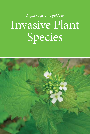A quick reference guide to Invasive Plant Species

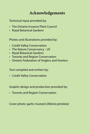### **Acknowledgements**

Technical input provided by:

- The Ontario Invasive Plant Council
- Royal Botanical Gardens

Photos and illustrations provided by:

- Credit Valley Conservation
- The Nature Conservancy US
- Royal Botanical Gardens
- Toronto and Region Conservation
- Ontario Federation of Anglers and Hunters

Text compiled and written by:

• Credit Valley Conservation

Graphic design and production provided by:

• Toronto and Region Conservation

Cover photo: garlic mustard (Alliaria petiolata)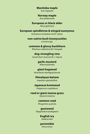### **Manitoba maple**

Acer negundo

#### **Norway maple**

Acer platanoides

### **European or black alder**

Alnus glutinosa

### **European spindletree & winged euonymus**

Euonymus europaeus and E. alatus

#### **non-native bush honeysuckles**

Lonicera spp.

#### **common & glossy buckthorn**

Rhamnus cathartica & R. frangula

### **dog-strangling vine**

Cynanchum rossicum & C. nigrum

### **garlic mustard**

Alliaria petiolata

### **giant hogweed**

Heracleum mantegazzianum

### **Himalayan balsam**

Impatiens glandulifera

#### **Japanese knotweed**

Polygonum cuspidatum

#### **reed or giant manna grass**

Glyceria maxima

#### **common reed**

Phragmites australis

#### **goutweed**

Aegopodium podagraria

### **English ivy**

Hedera helix

### **periwinkle**

Vinca minor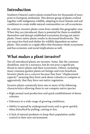## **Introduction**

Southern Ontario's native plants existed here for thousands of years prior to European settlement. This diverse group of plants evolved together with indigenous wildlife, adapting to local climate and soil conditions to create stable natural communities we call ecosystems.

By contrast, invasive plants come from outside this geographic area. When they are introduced, there is potential for them to establish themselves and disrupt established ecosystems forcing out native plants. Fewer native plants results in decreased biodiversity. This can mean less food and shelter for wildlife dependent on native plants. This results in a ripple effect that threatens whole ecosystems and has economic and social implications as well.

## **What makes a plant invasive?**

Not all introduced plants are invasive. Some, like the common dandelion, may be a nuisance, but do not pose a significant threat to native plants and their ecosystems. Others, including many common garden plants are benign and even beneficial. Invasive plants are a concern because they have "displacement capacity" meaning they form such dense colonies or compete so aggressively, that they force out native vegetation.

Invasive plants commonly have one or more of the following characteristics allowing them to out-compete native species:

- High annual seed production and quick establishment of dense colonies;
- Tolerance to a wide range of growing conditions;
- Ability to spread by underground roots and re-grow quickly when disturbed by pulling, cutting or fire;
- A lack of natural predators to keep their population under control in their new environment.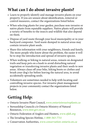## **What can I do about invasive plants?**

- Learn to properly identify and manage invasive plants on your property. If you are unsure about identification, removal or control measures, contact the organizations listed below.
- When selecting plants for your garden, purchase non-invasive or native plants from reputable suppliers. Native plants will provide a variety of benefits to the insects and wildlife that also depend on them.
- Dispose of yard waste through your local municipality or in your backyard composter. Yard waste dumped in natural areas may contain invasive plant seeds.
- Share this information with your neighbours, friends and family. The more people who know about the problem, the easier it will be to stop the introduction and spread of invasive species.
- When walking or hiking in natural areas, remain on designated trails and keep pets on a leash to avoid disturbing natural vegetation or transferring invasive plants and their seeds to new areas. Always clean off your bike, hiking boots or clothes and brush your dog's fur before leaving the natural area, to avoid accidentally spreading seeds.
- Volunteers are sometimes needed to help with locating and controlling invasive species. For invasive plant management projects in your community contact the organizations listed below.

## **Getting Help:**

- • Ontario Invasive Plant Council, **www.ontarioinvasiveplants.ca**
- Stewardship Councils c/o Ontario Ministry of Natural Resources, **www.mnr.gov.on.ca**
- • Ontario Federation of Anglers and Hunters, **www.ofah.org**
- • The Invading Species Hotline, **1-800-563-7711**
- • Conservation Authorities, **www.conservation-ontario.on.ca**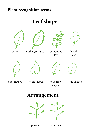### **Plant recognition terms**

## **Leaf shape**









entire toothed/serrated compound

leaf

lobed leaf







lance shaped heart shaped tear drop

shaped

egg shaped

## **Arrangement**





opposite alternate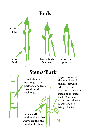

## **Stems/Bark**

**Lenticel**- small openings in the bark of some trees that allow air exchange.

**Ligule**- found at the inner base of the leaf, between where the leaf attaches to the main stem and the stem itself. Commonly forms a translucent membrane or a fringe of hairs.

### **Stem sheath**portion of leaf that wraps around and joins leaf to stem.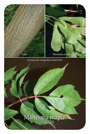



compound, irregularly lobed leaf

# Manitoba maple

(Acer negundo)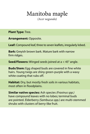# Manitoba maple

(Acer negundo)

**Plant Type:** Tree.

**Arrangement:** Opposite.

Leaf: Compound leaf, three to seven leaflets, irregularly lobed.

**Bark:** Greyish brown bark. Mature bark with narrow firm ridges.

**Seed/Flowers:** Winged seeds joined at  $a < 45^\circ$  angle.

**Buds/Stem:** Egg shaped buds are covered in fine white hairs. Young twigs are shiny green-purple with a waxy white coating that rubs off.

**Habitat:** Dry, but mostly fresh soils in various habitats, most often in floodplains.

**Similar native species:** Ash species (Fraxinus spp.) have compound leaves with no lobes; terminal buds are pointed. Elderberry (Sambucus spp.) are multi-stemmed shrubs with clusters of berry-like fruit.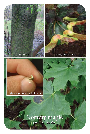mature bark Norway maple seeds



## Norway maple

(Acer platanoides)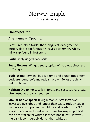## Norway maple (Acer platanoides)

**Plant type:** Tree.

**Arrangement:** Opposite.

**Leaf:** Five lobed (wider than long) leaf, dark green to purple. Black-spot fungus on leaves is common. White, milky sap found in leaf stem.

**Bark:** Finely ridged dark bark.

**Seed/Flowers:** Winged seed; typical of maples. Joined at a 180° angle.

**Buds/Stem:** Terminal bud is plump and blunt tipped stem buds are round, soft and reddish brown. Twigs are shiny reddish brown

**Habitat:** Dry to moist soils in forest and successional areas, often used as urban street tree.

**Similar native species:** Sugar maple (Acer saccharum) leaves are five lobed and longer than wide. Buds on sugar maple are sharp pointed, not blunt and seeds form a "U" shape. Clear sap is found in leaf stem. Norway maple bark can be mistaken for white ash when not in leaf. However, the bark is considerably darker than white ash.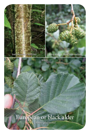

leaves

# European or black alder

(Alnus glutinosa)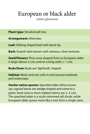# European or black alder

(Alnus glutinosa)

**Plant type:** Shrub/small tree.

**Arrangement:** Alternate.

Leaf: Oblong shaped leaf with blunt tip.

**Bark:** Grayish dark brown with obvious, silver lenticels.

**Seed/Flowers:** Pine-cone shaped fruit on European alder is large (about 2 cm), and on a long stalk  $(> 1$  cm).

**Buds/Stem:** Buds are 'lightbulb' shaped.

**Habitat:** Moist and wet soils in and around wetlands and waterways.

**Similar native species:** Speckled alder (Alnus incana ssp. rugosa) leaves are wedge shaped and come to a point. Seed cone is short stalked (stems are  $\leq$  .5 cm). The speckled alder is a multi-stemmed tall shrub, while European alder grows more like a tree from a single stem.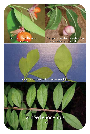



running strawberry and European spindletree

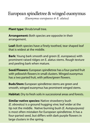### European spindletree & winged euonymus (Euonymus europaeus & E. alatus)

**Plant type:** Shrub/small tree.

**Arrangement:** Both species are opposite in their arrangement.

Leaf: Both species have a finely toothed, tear shaped leaf that is widest at the middle

**Bark:** Young bark smooth and green (E. europaeus) with prominent raised ridges on E. alatus stems. Rough texture and peeling bark when mature.

**Seed/Flowers:** European spindletree has a four-parted fruit with yellowish flowers in small clusters. Winged euonymus has a two parted fruit, with vellow/green flowers.

**Buds/Stem:** European spindletree stems are green and smooth, winged euonymus has prominent winged stems.

**Habitat:** Dry to fresh soils in successional areas and forests.

**Similar native species:** Native strawberry bush  $(E. obovatus)$  is a ground hugging vine; leaf wider at the tip not the middle. Native burning bush (E. Autopurpurea) is most often mistaken for European spindletree. It has a four-parted seed, but differs with dark purple flowers in large clusters in the spring.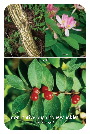

# non-native bush honeysuckles

(Lonicera spp.)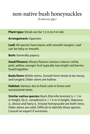## non-native bush honeysuckles

(Lonicera spp.)

**Plant type:** Shrub can be 1.5 m to 4 m tall.

**Arrangement:** Opposite.

Leaf: All species have leaves with smooth margins. Leaf can be hairy or smooth.

**Bark:** Generally papery.

**Seed/Flowers:** Showy flowers (various colours: white, pink, yellow, orange); fruit typically two bright red berries fused together.

**Buds/Stem:** Brittle stems. Growth form tends to be messy and tangled. Older stems are hollow.

**Habitat:** Various: dry to fresh soils in forest and successional areas.

**Similar native species:** Bush (Diervilla lonicera) is < 1 m in height, fly  $(L.$  canadensis) is  $< 1.5$  m in height, Glaucous  $(L. dioica)$  and hairy  $(L. hirsuta)$  honeysuckle are both vines. Older stems are solid. Difficult to identify these species. Consult an expert if uncertain.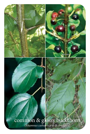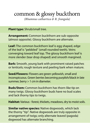## common & glossy buckthorn

(Rhamnus cathartica & R. frangula)

**Plant type:** Shrub/small tree.

**Arrangement:** Common buckthorn are sub-opposite (almost opposite). Glossy buckthorn are alternate.

Leaf: The common buckthorn leaf is egg shaped, edge of the leaf is "pebbled" (small rounded teeth). Veins converging toward leaf top. The glossy buckthorn leaf is more slender (tear drop shaped) and smooth margined.

**Bark:** Smooth, young bark with prominent raised patches or lenticels; rough texture and peeling bark when mature.

**Seed/Flowers:** Flowers are green-yellowish, small and inconspicuous. Green berries becoming purplish/black in late summer, berry  $> 1$  cm in diameter.

**Buds/Stem:** Common buckthorn has thorn-like tip on many twigs. Glossy buckthorn buds have no bud scales and lack thorny tips to twigs.

**Habitat:** Various - forest, thickets, meadows, dry to moist soils.

**Similar native species:** Native dogwoods, which lack the thorny "tip". Native dogwoods are truly opposite in arrangement of twigs; only alternate leaved (pagoda) dogwood has alternate branching.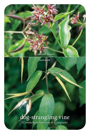

seed pods

### dog-strangling vine (Cynanchum rossicum & C. nigrum)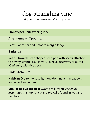### dog-strangling vine (Cynanchum rossicum & C. nigrum)

**Plant type:** Herb, twining vine.

**Arrangement:** Opposite.

Leaf: Lance shaped, smooth margin (edge).

**Bark:** n/a.

**Seed/Flowers:** Bean shaped seed pod with seeds attached to downy 'umbrellas'. Flowers - pink (C. rossicum) or purple (C. nigrum) with five petals.

**Buds/Stem:**  $n/a$ .

**Habitat:** Dry to moist soils; more dominant in meadows and woodland edges.

**Similar native species:** Swamp milkweed (Asclepias incarnata), is an upright plant, typically found in wetland habitats.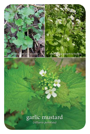young/first year growth second year growth & flowers

# garlic mustard

(Alliaria petiolata)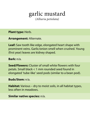# garlic mustard

(Alliaria petiolata)

**Plant type: Herb.** 

**Arrangement:** Alternate.

Leaf: Saw tooth like edge, elongated heart shape with prominent veins. Garlic/onion smell when crushed. Young (first year) leaves are kidney shaped.

**Bark:** n/a.

**Seed/Flowers:** Cluster of small white flowers with four petals. Small black  $< 1$  mm rounded seed found in elongated 'tube-like' seed pods (similar to a bean pod).

**Buds/Stem:** n/a.

**Habitat:** Various – dry to moist soils, in all habitat types, less often in meadows.

**Similar native species:**  $n/a$ .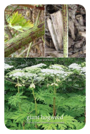stem with purple spots and the stem with purple spots and the system of the stem

# giant hogweed

Le 6

flower and leaves

(Heracleum mantegazzianum)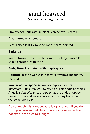### giant hogweed (Heracleum mantegazzianum)

**Plant type:** Herb. Mature plants can be over 3 m tall.

**Arrangement:** Alternate.

Leaf: Lobed leaf 1-2 m wide, lobes sharp-pointed.

**Bark:** n/a.

**Seed/Flowers:** Small, white flowers in a large umbrellashaped cluster, .75 m wide.

**Buds/Stem:** Hairy stem with purple spots.

**Habitat:** Fresh to wet soils in forests, swamps, meadows, marshes.

**Similar native species:** Cow parsnip (Heracleum maximum) – has smaller flowers, no purple spots on stems. Angelica (Angelica atropurpurea) has a rounded-topped flower cluster and leaves divided into many leaflets and the stem is hairless.

Do not touch this plant because it is poisonous. If you do, wash your skin immediately in cool soapy water and do not expose the area to sunlight.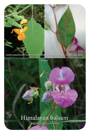native jewelweed flower and stem | Himalayan balsam flower and stem

flower

### Himalayan balsam (Impatiens glandulifera)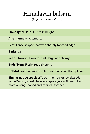# Himalayan balsam

(Impatiens glandulifera)

**Plant Type:** Herb, 1 - 3 m in height.

**Arrangement:** Alternate.

Leaf: Lance shaped leaf with sharply toothed edges.

**Bark:** n/a.

**Seed/Flowers:** Flowers- pink, large and showy.

**Buds/Stem:** Fleshy reddish stem.

**Habitat:** Wet and moist soils in wetlands and floodplains.

**Similar native species:** Touch-me-nots or jewelweeds (Impatiens capensis) - have orange or yellow flowers. Leaf more oblong shaped and coarsely toothed.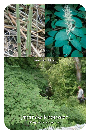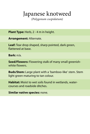## Japanese knotweed

(Polygonum cuspidatum)

**Plant Type:** Herb, 2 - 4 m in height.

**Arrangement:** Alternate.

Leaf: Tear drop shaped, sharp pointed, dark green, flattened at base.

**Bark:** n/a.

**Seed/Flowers:** Flowering stalk of many small greenishwhite flowers.

**Buds/Stem:** Large plant with a 'bamboo-like' stem. Stem light green maturing to tan colour.

Habitat: Moist to wet soils found in wetlands, watercourses and roadside ditches.

**Similar native species:** none.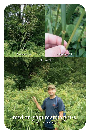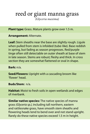# reed or giant manna grass

(Glyceria maxima)

**Plant type:** Grass. Mature plants grow over 1.5 m.

**Arrangement:** Alternate.

**Leaf:** Stem sheaths near the base are slightly rough. Ligule when pulled from stem is infolded (tube-like). Base reddish in spring, but fading as season progresses. Red/purple tinge often still detectable on outer sheath at base of stem in late season. Stems are robust; fleshy and thick. In cross section they are somewhat flattened or oval in shape.

**Bark:** n/a.

**Seed/Flowers:** Upright with a cascading broom like 'flower' head. 

**Buds/Stem:**  $n/a$ .

**Habitat:** Moist to fresh soils in open wetlands and edges of riverhank

**Similar native species:** The native species of manna grass (Glyceria sp.), including tall northern, eastern and rattlesnake grass, have smooth stem sheaths and flowering heads tend to bend over and not stand upright. Rarely do these native species exceed 1.5 m in height.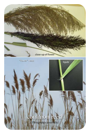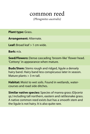## common reed

(Phragmites australis)

**Plant type: Grass.** 

**Arrangement:** Alternate.

**Leaf:** Broad leaf > 1 cm wide.

**Bark:** n/a.

**Seed/Flowers:** Dense cascading 'broom-like' flower head. 'Cottony' in appearance when mature.

**Buds/Stem:** Stems rough and ridged, ligule a densely hairy band. Hairy band less conspicuous later in season. Mature plants  $> 3$  m tall.

**Habitat:** Moist to wet soils. Found in wetlands, watercourses and road side ditches.

**Similar native species:** Species of manna grass (Glyceria sp.) including tall northern, eastern and rattlesnake grass. A native common reed exists but has a smooth stem and the liqule is not hairy. It is also quite rare.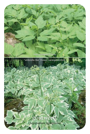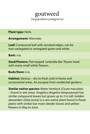## goutweed (Aegopodium podagraria)

### **Plant type: Herb.**

**Arrangement:** Alternate.

Leaf: Compound leaf with serrated edges, can be non-variegated or variegated green and white.

### **Bark:** n/a.

**Seed/Flowers:** Flat topped 'umbrella like' flower head with many small white flowers.

### **Buds/Stem:** n/a.

**Habitat:** Various – dry to fresh soils in forest and successional areas. An escapee from residential gardens.

**Similar native species:** Water hemlock (Cicuta maculata) – found in wet areas. Angelica (Angelica atropurpurea) has similar compound leaves but grows up to 2 m tall. Golden alexanders (Zizia aurea) is a rare native plant found in flood plains with similar but more slender leaves and yellow flowers in May to June.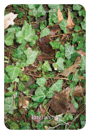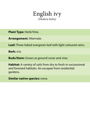

**Plant Type: Herb/Vine.** 

**Arrangement:** Alternate.

Leaf: Three-lobed evergreen leaf with light coloured veins.

**Bark:** n/a.

**Buds/Stem:** Grows as ground cover and vine.

**Habitat:** A variety of soils from dry to fresh in successional and forested habitats. An escapee from residential gardens.

**Similar native species:** none.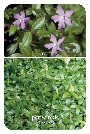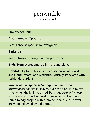

**Plant type: Herb.** 

**Arrangement:** Opposite.

Leaf: Lance shaped, shiny, evergreen.

**Bark:** n/a.

**Seed/Flowers:** Showy blue/purple flowers.

**Buds/Stem:** A creeping, trailing ground plant.

**Habitat:** Dry to fresh soils in successional areas, forests and along streams and wetlands. Typically associated with residential gardens.

**Similar native species:** Wintergreen (Gaultheria procumbens) has similar leaves, but has an obvious minty smell when the leaf is crushed. Partridgeberry (Mitchella repens) is also found in forests. Similar leaves but more round to egg-shaped with prominent pale veins, flowers are white followed by red berries.